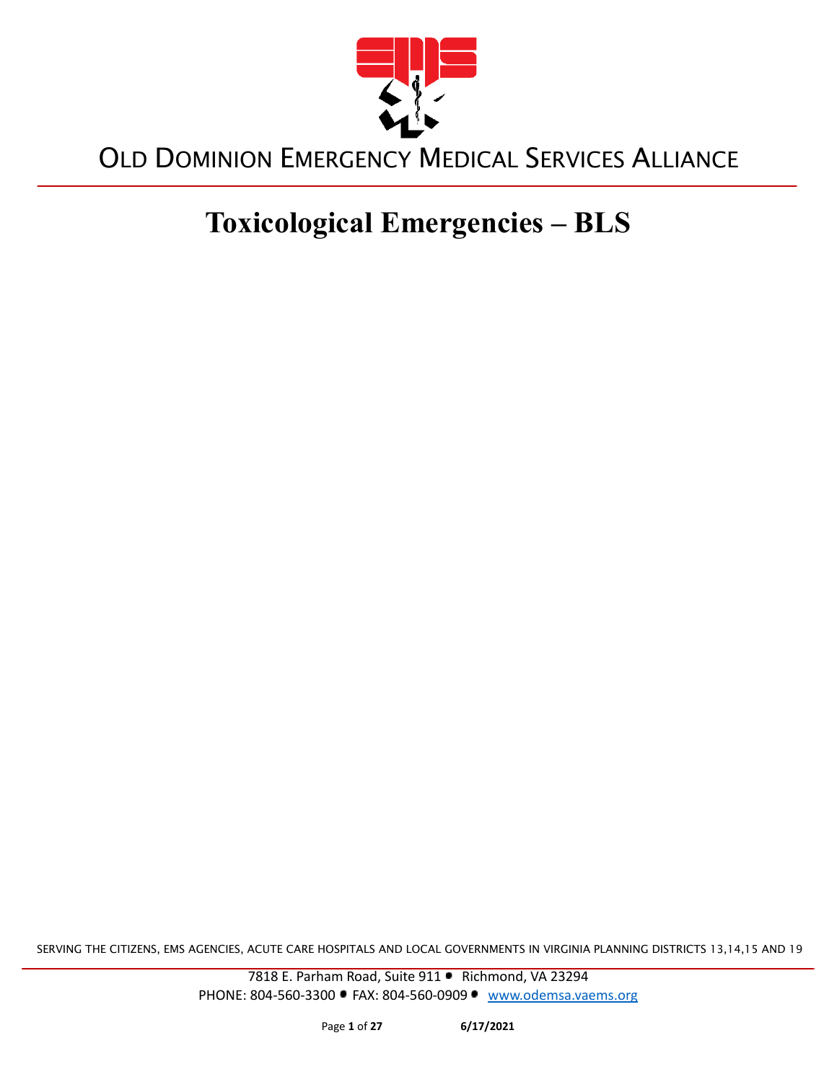

# **Toxicological Emergencies – BLS**

SERVING THE CITIZENS, EMS AGENCIES, ACUTE CARE HOSPITALS AND LOCAL GOVERNMENTS IN VIRGINIA PLANNING DISTRICTS 13,14,15 AND 19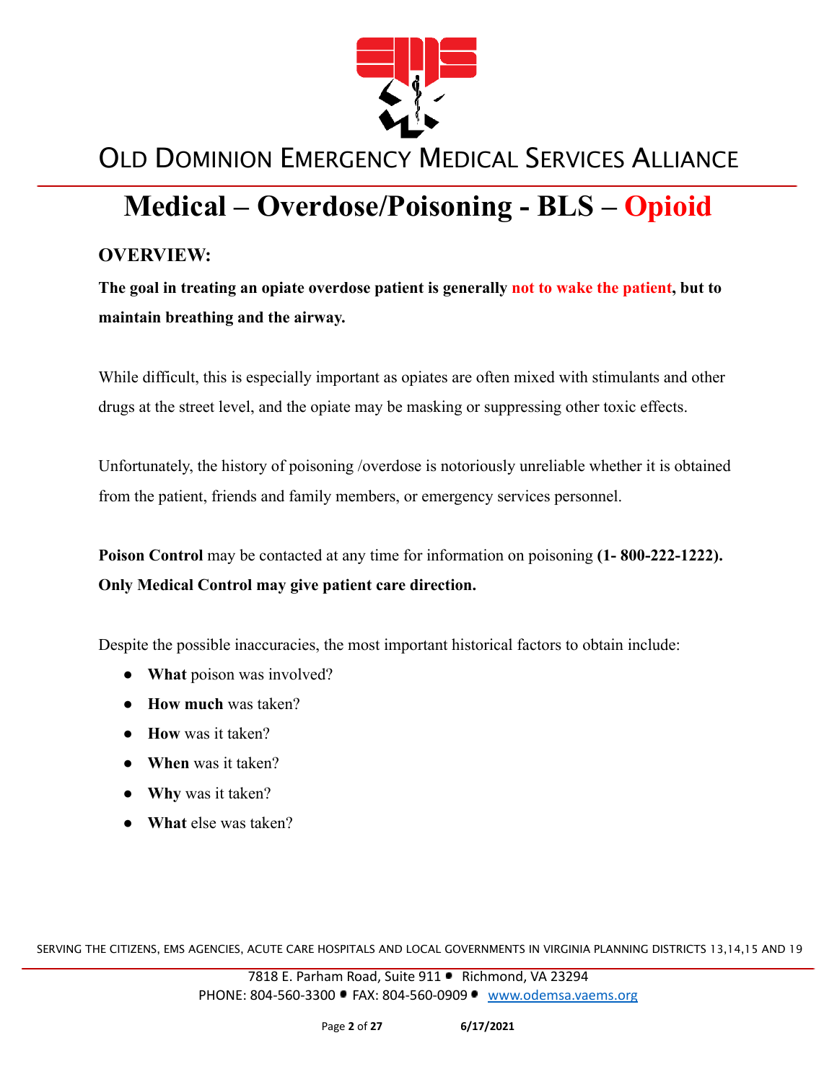

# **Medical – Overdose/Poisoning - BLS – Opioid**

#### **OVERVIEW:**

**The goal in treating an opiate overdose patient is generally not to wake the patient, but to maintain breathing and the airway.**

While difficult, this is especially important as opiates are often mixed with stimulants and other drugs at the street level, and the opiate may be masking or suppressing other toxic effects.

Unfortunately, the history of poisoning /overdose is notoriously unreliable whether it is obtained from the patient, friends and family members, or emergency services personnel.

**Poison Control** may be contacted at any time for information on poisoning **(1- 800-222-1222). Only Medical Control may give patient care direction.**

Despite the possible inaccuracies, the most important historical factors to obtain include:

- **What** poison was involved?
- **How much** was taken?
- **How** was it taken?
- **When** was it taken?
- **● Why** was it taken?
- **● What** else was taken?

SERVING THE CITIZENS, EMS AGENCIES, ACUTE CARE HOSPITALS AND LOCAL GOVERNMENTS IN VIRGINIA PLANNING DISTRICTS 13,14,15 AND 19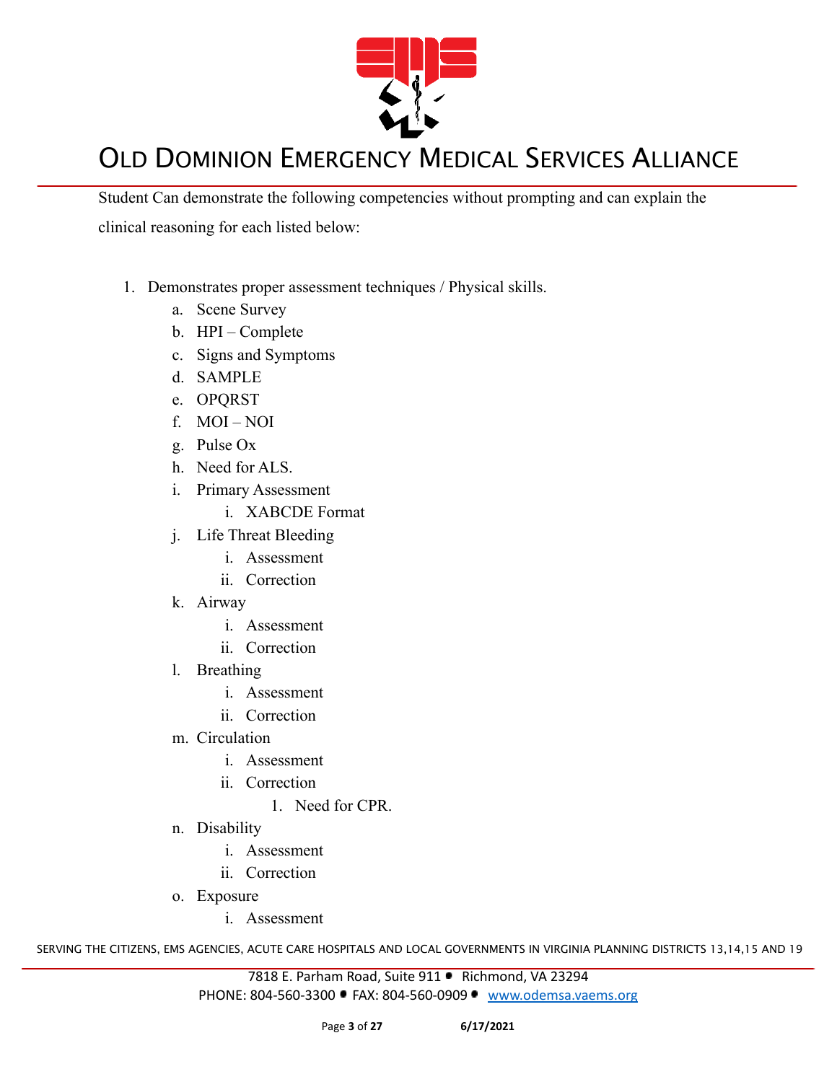

Student Can demonstrate the following competencies without prompting and can explain the clinical reasoning for each listed below:

- 1. Demonstrates proper assessment techniques / Physical skills.
	- a. Scene Survey
	- b. HPI Complete
	- c. Signs and Symptoms
	- d. SAMPLE
	- e. OPQRST
	- f. MOI NOI
	- g. Pulse Ox
	- h. Need for ALS.
	- i. Primary Assessment
		- i. XABCDE Format
	- j. Life Threat Bleeding
		- i. Assessment
		- ii. Correction
	- k. Airway
		- i. Assessment
		- ii. Correction
	- l. Breathing
		- i. Assessment
		- ii. Correction
	- m. Circulation
		- i. Assessment
		- ii. Correction
			- 1. Need for CPR.
	- n. Disability
		- i. Assessment
		- ii. Correction
	- o. Exposure
		- i. Assessment

SERVING THE CITIZENS, EMS AGENCIES, ACUTE CARE HOSPITALS AND LOCAL GOVERNMENTS IN VIRGINIA PLANNING DISTRICTS 13,14,15 AND 19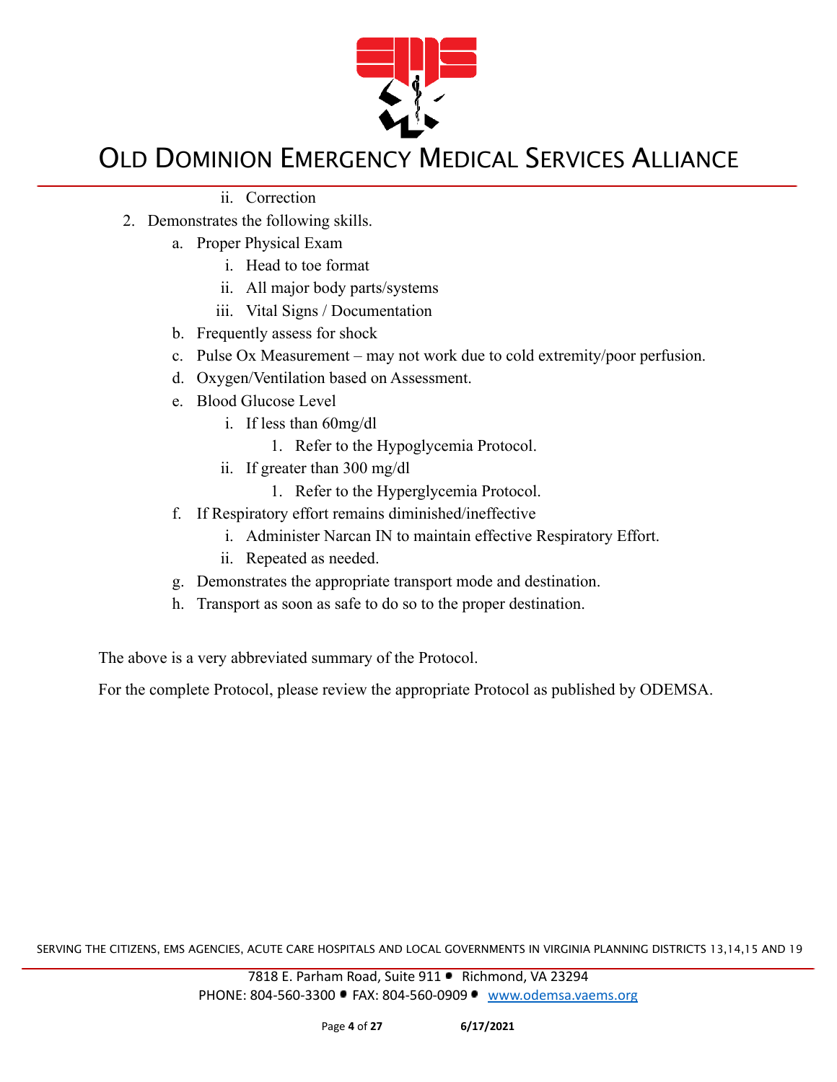

- ii. Correction
- 2. Demonstrates the following skills.
	- a. Proper Physical Exam
		- i. Head to toe format
		- ii. All major body parts/systems
		- iii. Vital Signs / Documentation
	- b. Frequently assess for shock
	- c. Pulse Ox Measurement may not work due to cold extremity/poor perfusion.
	- d. Oxygen/Ventilation based on Assessment.
	- e. Blood Glucose Level
		- i. If less than 60mg/dl
			- 1. Refer to the Hypoglycemia Protocol.
		- ii. If greater than 300 mg/dl
			- 1. Refer to the Hyperglycemia Protocol.
	- f. If Respiratory effort remains diminished/ineffective
		- i. Administer Narcan IN to maintain effective Respiratory Effort.
		- ii. Repeated as needed.
	- g. Demonstrates the appropriate transport mode and destination.
	- h. Transport as soon as safe to do so to the proper destination.

The above is a very abbreviated summary of the Protocol.

For the complete Protocol, please review the appropriate Protocol as published by ODEMSA.

SERVING THE CITIZENS, EMS AGENCIES, ACUTE CARE HOSPITALS AND LOCAL GOVERNMENTS IN VIRGINIA PLANNING DISTRICTS 13,14,15 AND 19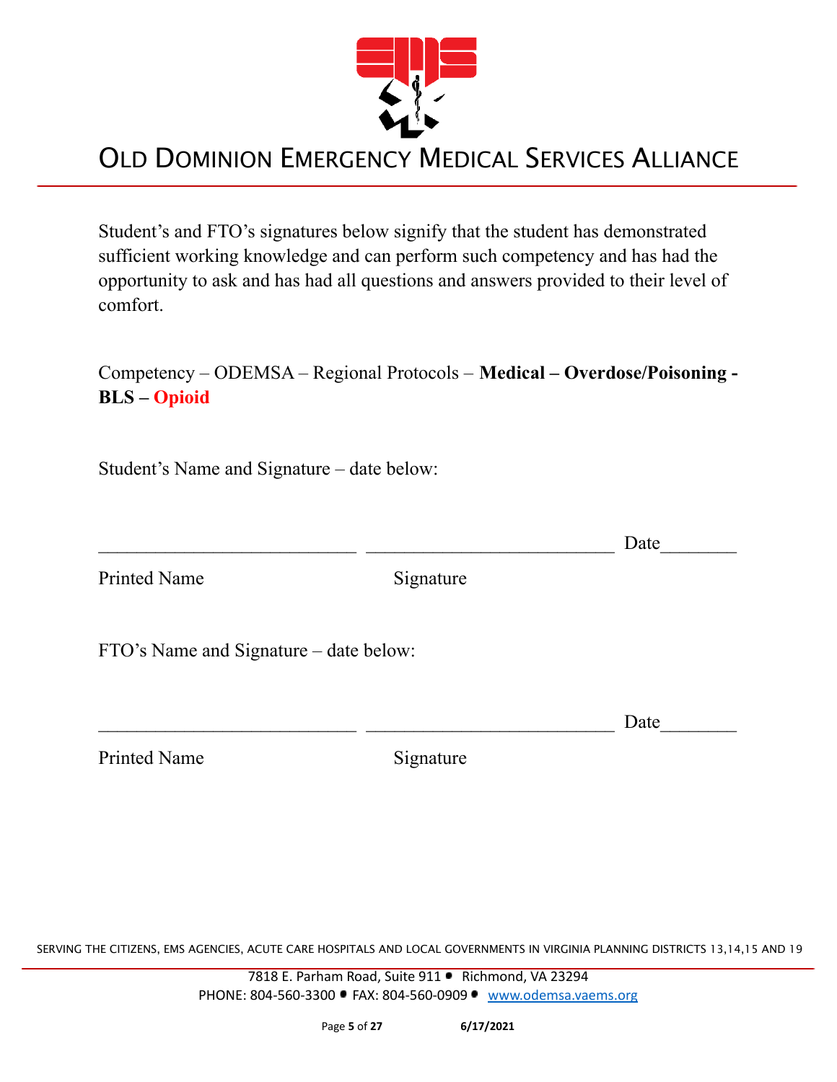

Student's and FTO's signatures below signify that the student has demonstrated sufficient working knowledge and can perform such competency and has had the opportunity to ask and has had all questions and answers provided to their level of comfort.

### Competency – ODEMSA – Regional Protocols – **Medical – Overdose/Poisoning - BLS – Opioid**

Student's Name and Signature – date below:

|                                        |           | Date |
|----------------------------------------|-----------|------|
| <b>Printed Name</b>                    | Signature |      |
| FTO's Name and Signature – date below: |           |      |
|                                        |           | Date |
| <b>Printed Name</b>                    | Signature |      |

SERVING THE CITIZENS, EMS AGENCIES, ACUTE CARE HOSPITALS AND LOCAL GOVERNMENTS IN VIRGINIA PLANNING DISTRICTS 13,14,15 AND 19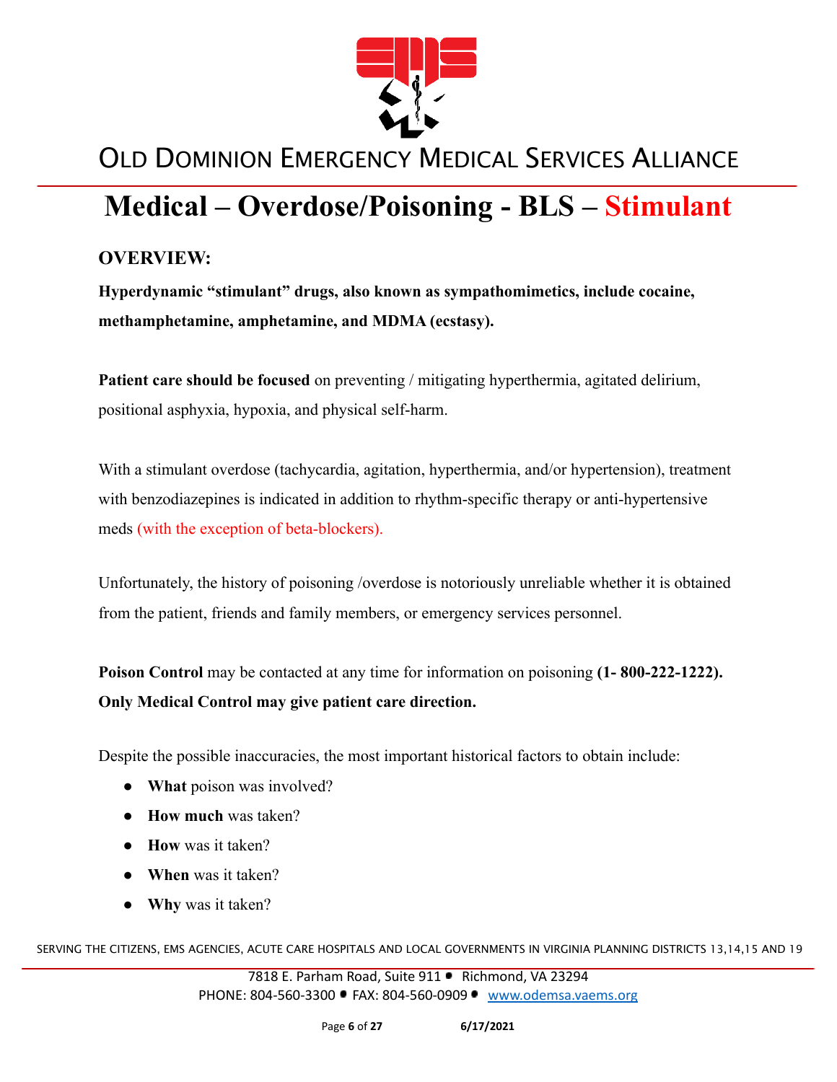

## **Medical – Overdose/Poisoning - BLS – Stimulant**

### **OVERVIEW:**

**Hyperdynamic "stimulant" drugs, also known as sympathomimetics, include cocaine, methamphetamine, amphetamine, and MDMA (ecstasy).**

**Patient care should be focused** on preventing / mitigating hyperthermia, agitated delirium, positional asphyxia, hypoxia, and physical self-harm.

With a stimulant overdose (tachycardia, agitation, hyperthermia, and/or hypertension), treatment with benzodiazepines is indicated in addition to rhythm-specific therapy or anti-hypertensive meds (with the exception of beta-blockers).

Unfortunately, the history of poisoning /overdose is notoriously unreliable whether it is obtained from the patient, friends and family members, or emergency services personnel.

**Poison Control** may be contacted at any time for information on poisoning **(1- 800-222-1222). Only Medical Control may give patient care direction.**

Despite the possible inaccuracies, the most important historical factors to obtain include:

- **What** poison was involved?
- **How much** was taken?
- **How** was it taken?
- **When** was it taken?
- **● Why** was it taken?

SERVING THE CITIZENS, EMS AGENCIES, ACUTE CARE HOSPITALS AND LOCAL GOVERNMENTS IN VIRGINIA PLANNING DISTRICTS 13,14,15 AND 19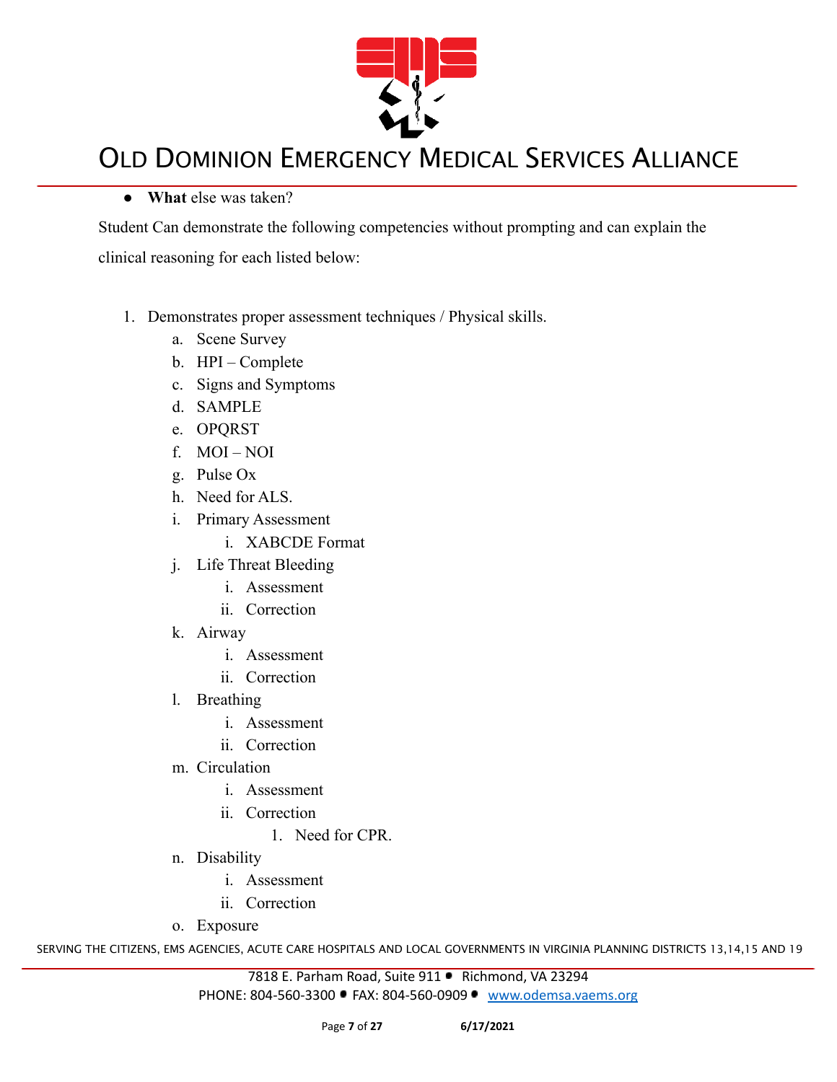

#### **● What** else was taken?

Student Can demonstrate the following competencies without prompting and can explain the clinical reasoning for each listed below:

- 1. Demonstrates proper assessment techniques / Physical skills.
	- a. Scene Survey
	- b. HPI Complete
	- c. Signs and Symptoms
	- d. SAMPLE
	- e. OPQRST
	- f. MOI NOI
	- g. Pulse Ox
	- h. Need for ALS.
	- i. Primary Assessment
		- i. XABCDE Format
	- j. Life Threat Bleeding
		- i. Assessment
		- ii. Correction
	- k. Airway
		- i. Assessment
		- ii. Correction
	- l. Breathing
		- i. Assessment
		- ii. Correction
	- m. Circulation
		- i. Assessment
		- ii. Correction
			- 1. Need for CPR.
	- n. Disability
		- i. Assessment
		- ii. Correction
	- o. Exposure

SERVING THE CITIZENS, EMS AGENCIES, ACUTE CARE HOSPITALS AND LOCAL GOVERNMENTS IN VIRGINIA PLANNING DISTRICTS 13,14,15 AND 19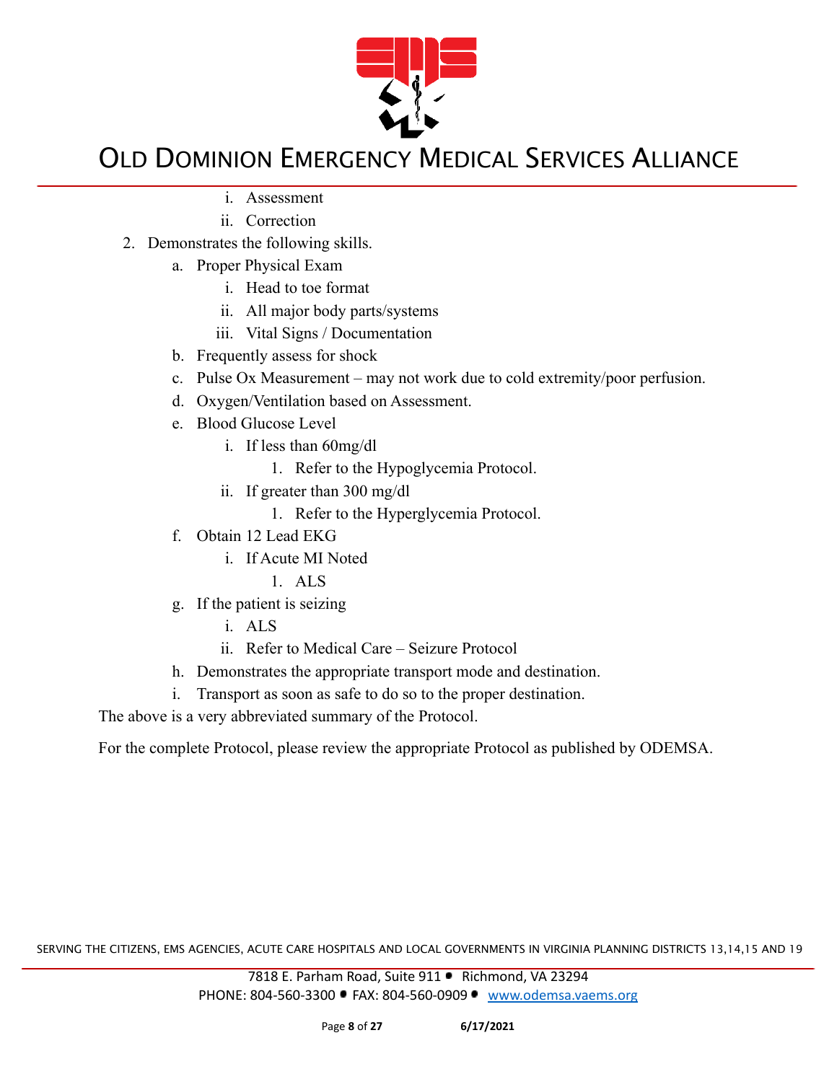

- i. Assessment
- ii. Correction
- 2. Demonstrates the following skills.
	- a. Proper Physical Exam
		- i. Head to toe format
		- ii. All major body parts/systems
		- iii. Vital Signs / Documentation
	- b. Frequently assess for shock
	- c. Pulse Ox Measurement may not work due to cold extremity/poor perfusion.
	- d. Oxygen/Ventilation based on Assessment.
	- e. Blood Glucose Level
		- i. If less than 60mg/dl
			- 1. Refer to the Hypoglycemia Protocol.
		- ii. If greater than 300 mg/dl
			- 1. Refer to the Hyperglycemia Protocol.
	- f. Obtain 12 Lead EKG
		- i. If Acute MI Noted
			- 1. ALS
	- g. If the patient is seizing
		- i. ALS
		- ii. Refer to Medical Care Seizure Protocol
	- h. Demonstrates the appropriate transport mode and destination.
	- i. Transport as soon as safe to do so to the proper destination.

The above is a very abbreviated summary of the Protocol.

For the complete Protocol, please review the appropriate Protocol as published by ODEMSA.

SERVING THE CITIZENS, EMS AGENCIES, ACUTE CARE HOSPITALS AND LOCAL GOVERNMENTS IN VIRGINIA PLANNING DISTRICTS 13,14,15 AND 19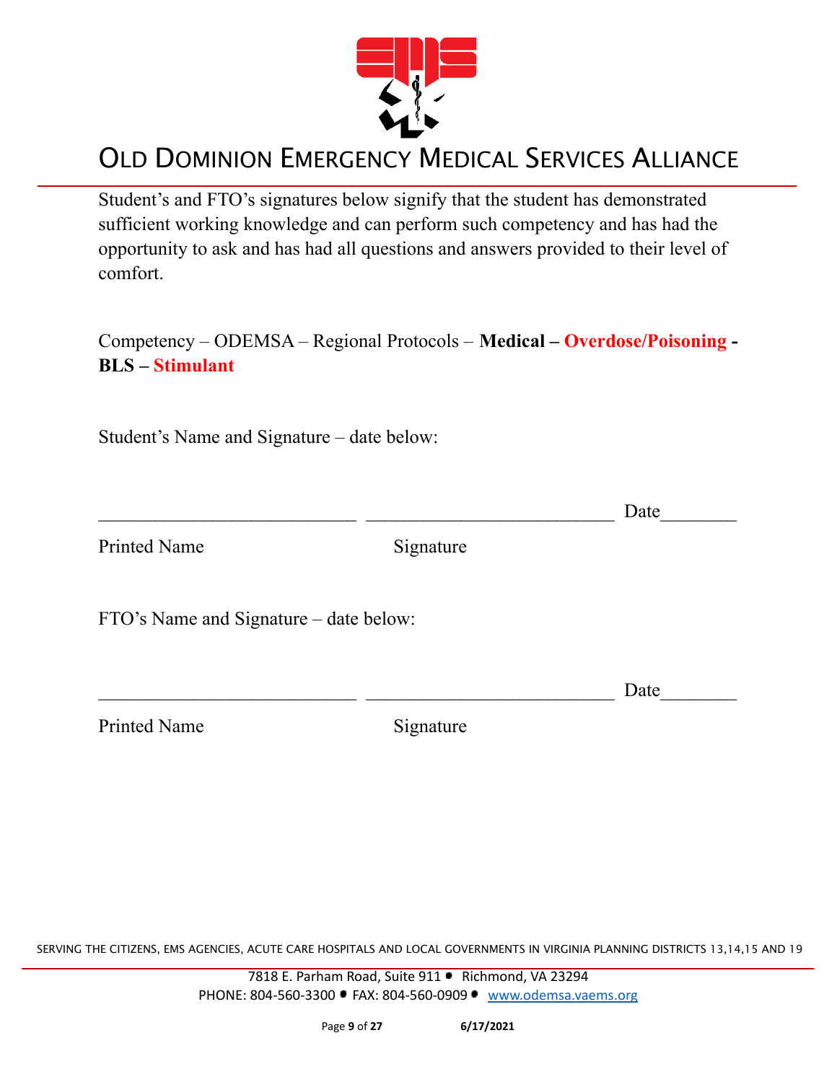

Student's and FTO's signatures below signify that the student has demonstrated sufficient working knowledge and can perform such competency and has had the opportunity to ask and has had all questions and answers provided to their level of comfort.

Competency – ODEMSA – Regional Protocols – **Medical – Overdose/Poisoning - BLS – Stimulant**

 $\Box$  Date

Student's Name and Signature – date below:

Printed Name Signature

FTO's Name and Signature – date below:

Printed Name Signature

 $\Box$  Date

SERVING THE CITIZENS, EMS AGENCIES, ACUTE CARE HOSPITALS AND LOCAL GOVERNMENTS IN VIRGINIA PLANNING DISTRICTS 13,14,15 AND 19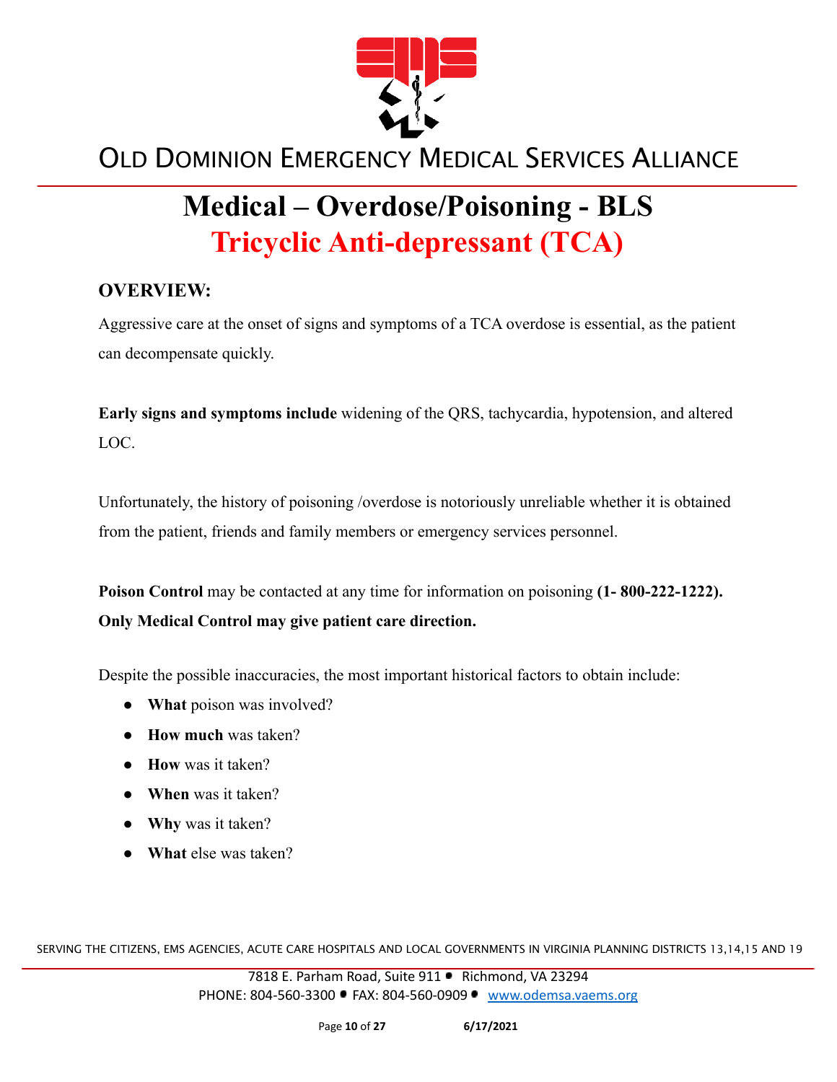

# **Medical – Overdose/Poisoning - BLS Tricyclic Anti-depressant (TCA)**

### **OVERVIEW:**

Aggressive care at the onset of signs and symptoms of a TCA overdose is essential, as the patient can decompensate quickly.

**Early signs and symptoms include** widening of the QRS, tachycardia, hypotension, and altered LOC.

Unfortunately, the history of poisoning /overdose is notoriously unreliable whether it is obtained from the patient, friends and family members or emergency services personnel.

**Poison Control** may be contacted at any time for information on poisoning **(1- 800-222-1222). Only Medical Control may give patient care direction.**

Despite the possible inaccuracies, the most important historical factors to obtain include:

- **What** poison was involved?
- **How much** was taken?
- **How** was it taken?
- **When** was it taken?
- **● Why** was it taken?
- **● What** else was taken?

SERVING THE CITIZENS, EMS AGENCIES, ACUTE CARE HOSPITALS AND LOCAL GOVERNMENTS IN VIRGINIA PLANNING DISTRICTS 13,14,15 AND 19

7818 E. Parham Road, Suite 911 · Richmond, VA 23294 PHONE: 804-560-3300 FAX: 804-560-0909 [www.odemsa.vaems.org](http://www.odemsa.vaems.org)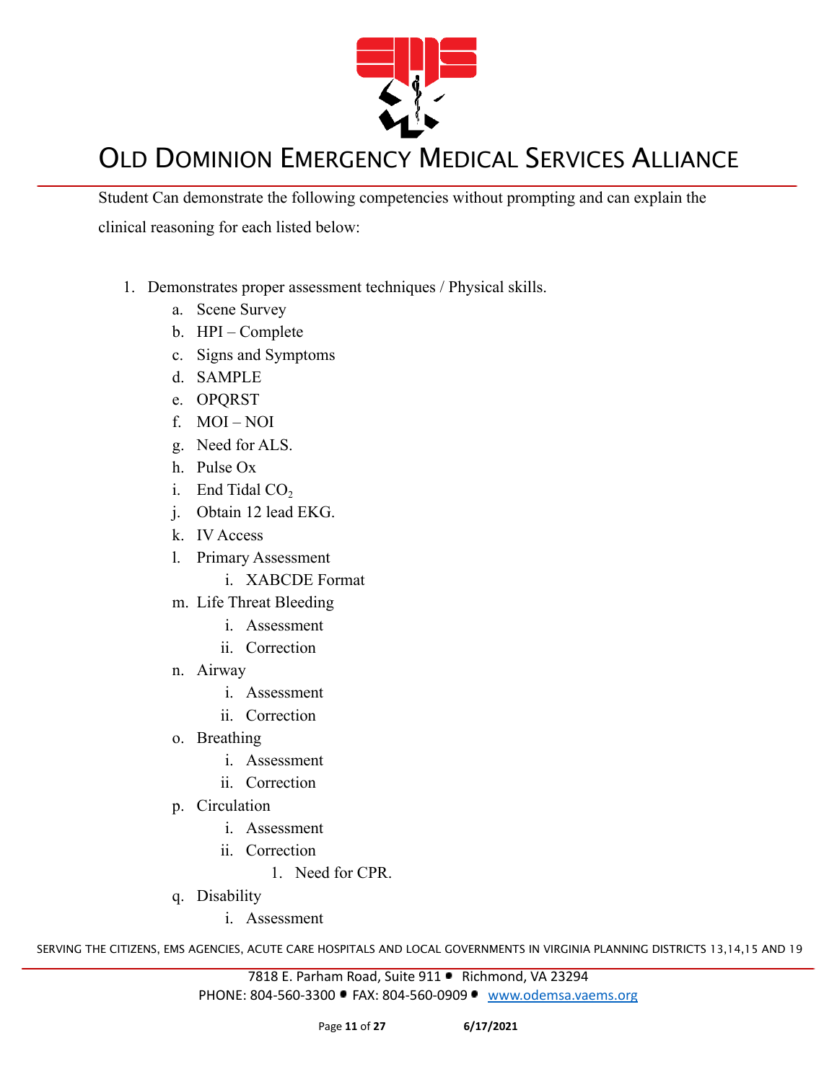

Student Can demonstrate the following competencies without prompting and can explain the clinical reasoning for each listed below:

- 1. Demonstrates proper assessment techniques / Physical skills.
	- a. Scene Survey
	- b. HPI Complete
	- c. Signs and Symptoms
	- d. SAMPLE
	- e. OPQRST
	- f. MOI NOI
	- g. Need for ALS.
	- h. Pulse Ox
	- i. End Tidal  $CO<sub>2</sub>$
	- j. Obtain 12 lead EKG.
	- k. IV Access
	- l. Primary Assessment
		- i. XABCDE Format
	- m. Life Threat Bleeding
		- i. Assessment
		- ii. Correction
	- n. Airway
		- i. Assessment
		- ii. Correction
	- o. Breathing
		- i. Assessment
		- ii. Correction
	- p. Circulation
		- i. Assessment
		- ii. Correction
			- 1. Need for CPR.
	- q. Disability
		- i. Assessment

SERVING THE CITIZENS, EMS AGENCIES, ACUTE CARE HOSPITALS AND LOCAL GOVERNMENTS IN VIRGINIA PLANNING DISTRICTS 13,14,15 AND 19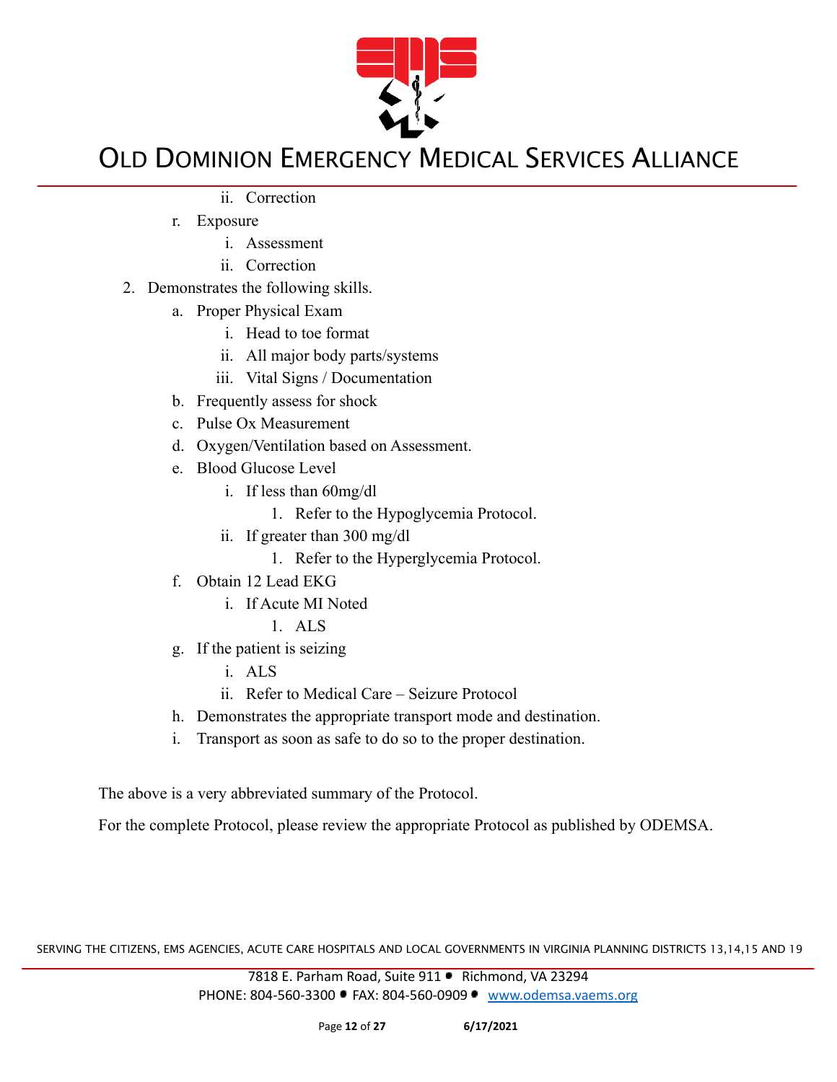

- ii. Correction
- r. Exposure
	- i. Assessment
	- ii. Correction
- 2. Demonstrates the following skills.
	- a. Proper Physical Exam
		- i. Head to toe format
		- ii. All major body parts/systems
		- iii. Vital Signs / Documentation
	- b. Frequently assess for shock
	- c. Pulse Ox Measurement
	- d. Oxygen/Ventilation based on Assessment.
	- e. Blood Glucose Level
		- i. If less than 60mg/dl
			- 1. Refer to the Hypoglycemia Protocol.
		- ii. If greater than 300 mg/dl
			- 1. Refer to the Hyperglycemia Protocol.
	- f. Obtain 12 Lead EKG
		- i. If Acute MI Noted

#### 1. ALS

- g. If the patient is seizing
	- i. ALS
	- ii. Refer to Medical Care Seizure Protocol
- h. Demonstrates the appropriate transport mode and destination.
- i. Transport as soon as safe to do so to the proper destination.

The above is a very abbreviated summary of the Protocol.

For the complete Protocol, please review the appropriate Protocol as published by ODEMSA.

SERVING THE CITIZENS, EMS AGENCIES, ACUTE CARE HOSPITALS AND LOCAL GOVERNMENTS IN VIRGINIA PLANNING DISTRICTS 13,14,15 AND 19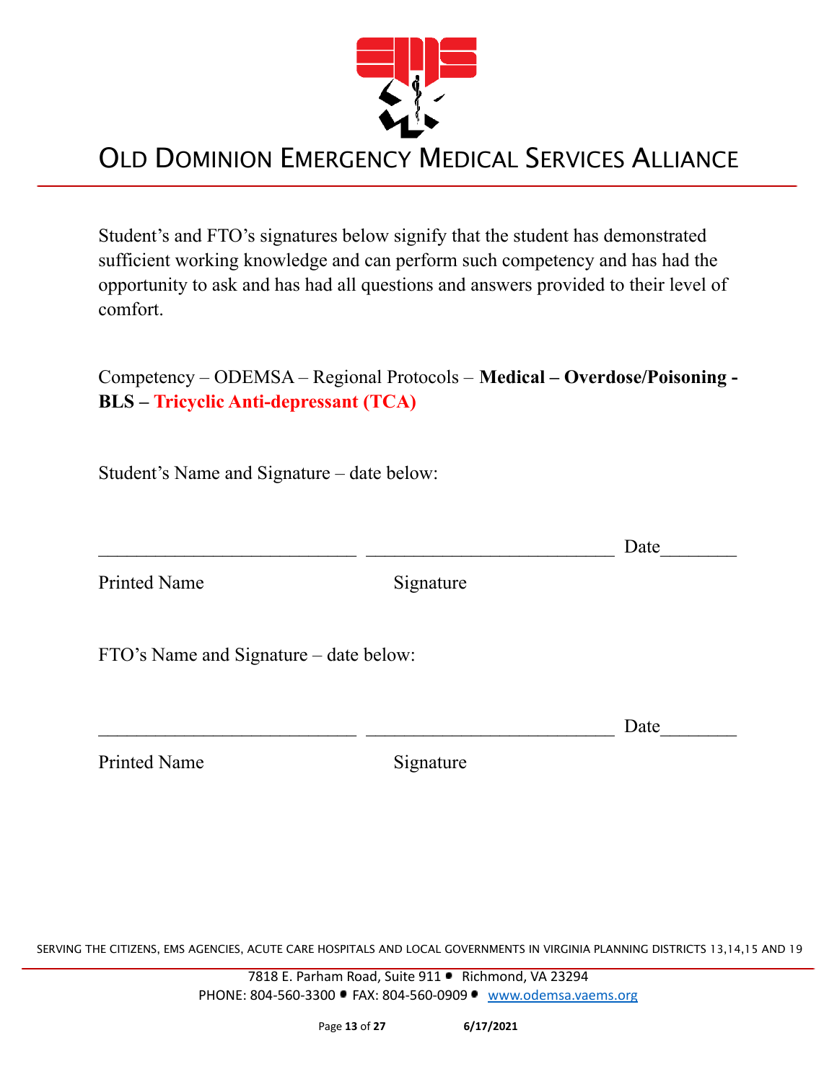

Student's and FTO's signatures below signify that the student has demonstrated sufficient working knowledge and can perform such competency and has had the opportunity to ask and has had all questions and answers provided to their level of comfort.

Competency – ODEMSA – Regional Protocols – **Medical – Overdose/Poisoning - BLS – Tricyclic Anti-depressant (TCA)**

Student's Name and Signature – date below:

 $\Box$  Date

Printed Name Signature

FTO's Name and Signature – date below:

 $\Box$  Date

Printed Name Signature

SERVING THE CITIZENS, EMS AGENCIES, ACUTE CARE HOSPITALS AND LOCAL GOVERNMENTS IN VIRGINIA PLANNING DISTRICTS 13,14,15 AND 19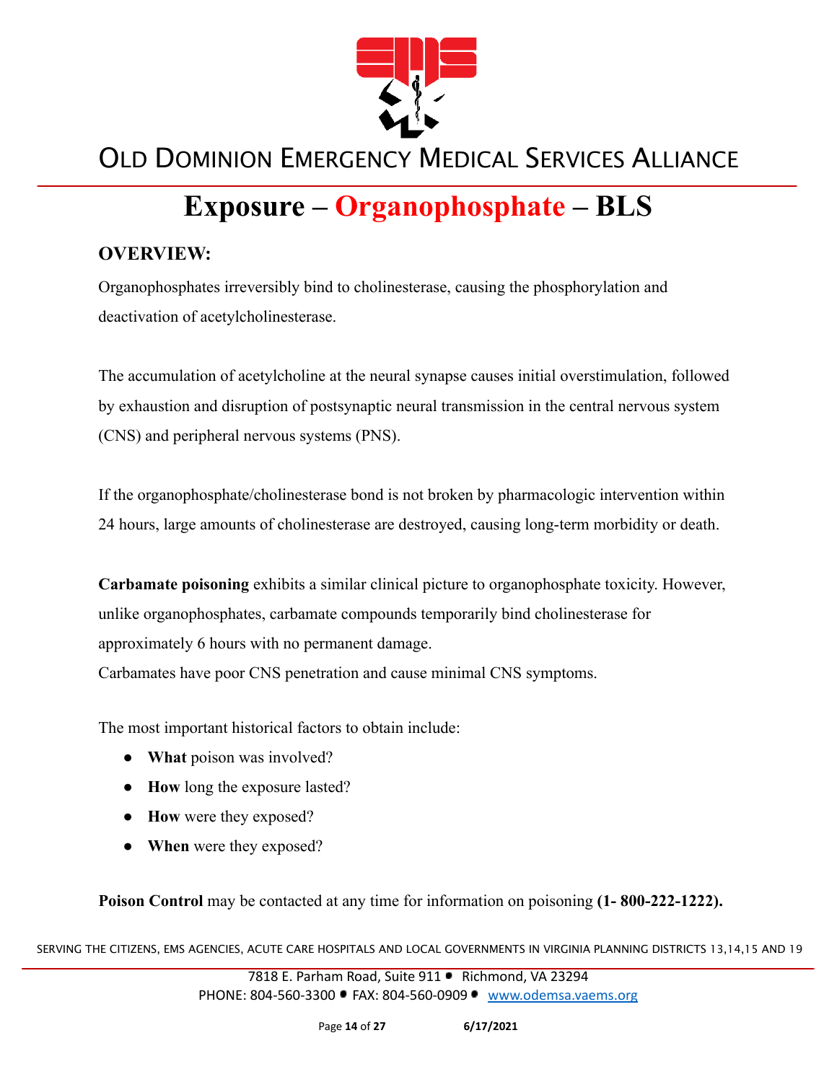

# **Exposure – Organophosphate – BLS**

### **OVERVIEW:**

Organophosphates irreversibly bind to cholinesterase, causing the phosphorylation and deactivation of acetylcholinesterase.

The accumulation of acetylcholine at the neural synapse causes initial overstimulation, followed by exhaustion and disruption of postsynaptic neural transmission in the central nervous system (CNS) and peripheral nervous systems (PNS).

If the organophosphate/cholinesterase bond is not broken by pharmacologic intervention within 24 hours, large amounts of cholinesterase are destroyed, causing long-term morbidity or death.

**Carbamate poisoning** exhibits a similar clinical picture to organophosphate toxicity. However, unlike organophosphates, carbamate compounds temporarily bind cholinesterase for approximately 6 hours with no permanent damage.

Carbamates have poor CNS penetration and cause minimal CNS symptoms.

The most important historical factors to obtain include:

- **What** poison was involved?
- **How** long the exposure lasted?
- **How** were they exposed?
- **When** were they exposed?

**Poison Control** may be contacted at any time for information on poisoning **(1- 800-222-1222).**

SERVING THE CITIZENS, EMS AGENCIES, ACUTE CARE HOSPITALS AND LOCAL GOVERNMENTS IN VIRGINIA PLANNING DISTRICTS 13,14,15 AND 19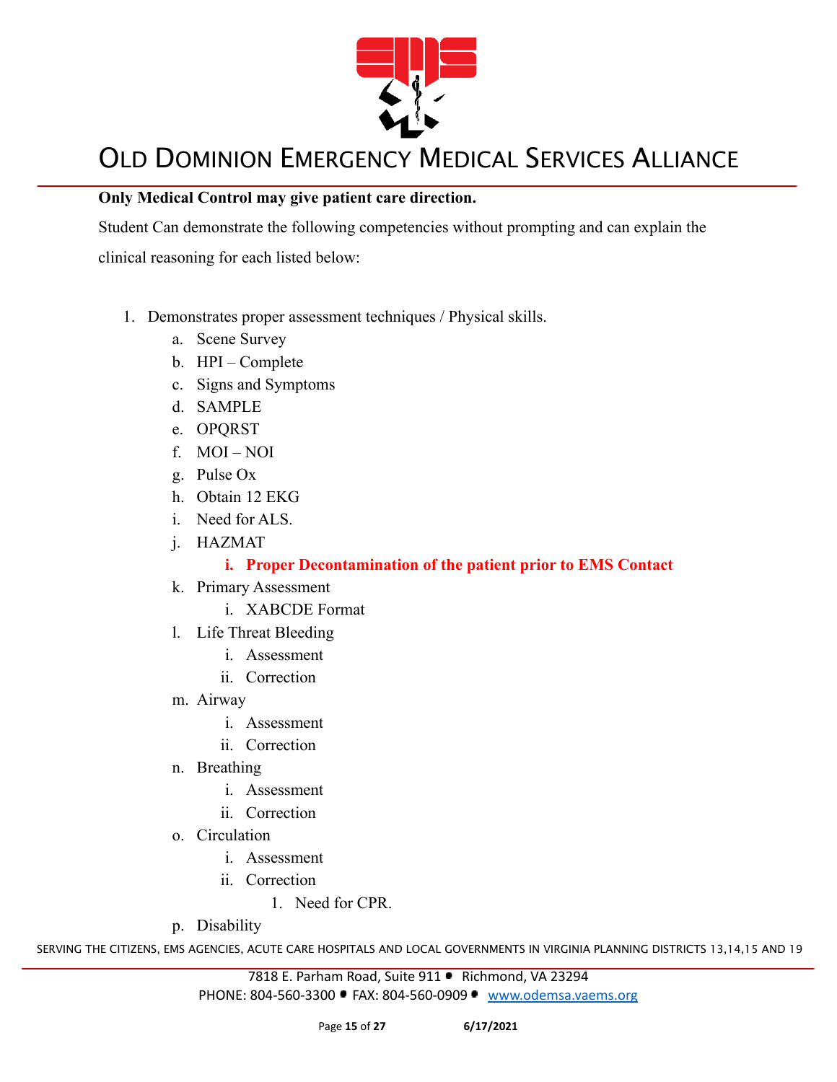

#### **Only Medical Control may give patient care direction.**

Student Can demonstrate the following competencies without prompting and can explain the clinical reasoning for each listed below:

- 1. Demonstrates proper assessment techniques / Physical skills.
	- a. Scene Survey
	- b. HPI Complete
	- c. Signs and Symptoms
	- d. SAMPLE
	- e. OPQRST
	- f. MOI NOI
	- g. Pulse Ox
	- h. Obtain 12 EKG
	- i. Need for ALS.
	- j. HAZMAT

#### **i. Proper Decontamination of the patient prior to EMS Contact**

- k. Primary Assessment
	- i. XABCDE Format
- l. Life Threat Bleeding
	- i. Assessment
	- ii. Correction
- m. Airway
	- i. Assessment
	- ii. Correction
- n. Breathing
	- i. Assessment
	- ii. Correction
- o. Circulation
	- i. Assessment
	- ii. Correction
		- 1. Need for CPR.
- p. Disability

SERVING THE CITIZENS, EMS AGENCIES, ACUTE CARE HOSPITALS AND LOCAL GOVERNMENTS IN VIRGINIA PLANNING DISTRICTS 13,14,15 AND 19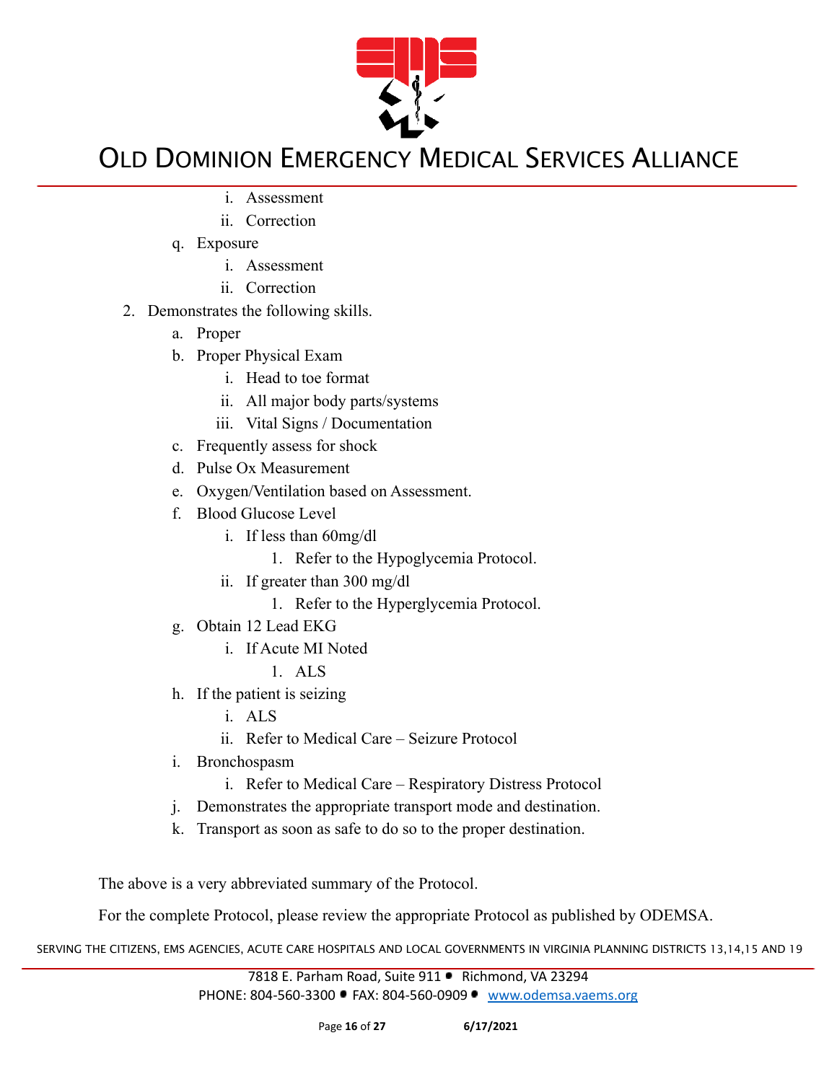

- i. Assessment
- ii. Correction
- q. Exposure
	- i. Assessment
	- ii. Correction
- 2. Demonstrates the following skills.
	- a. Proper
	- b. Proper Physical Exam
		- i. Head to toe format
		- ii. All major body parts/systems
		- iii. Vital Signs / Documentation
	- c. Frequently assess for shock
	- d. Pulse Ox Measurement
	- e. Oxygen/Ventilation based on Assessment.
	- f. Blood Glucose Level
		- i. If less than 60mg/dl
			- 1. Refer to the Hypoglycemia Protocol.
		- ii. If greater than 300 mg/dl
			- 1. Refer to the Hyperglycemia Protocol.
	- g. Obtain 12 Lead EKG
		- i. If Acute MI Noted
			- 1. ALS
	- h. If the patient is seizing
		- i. ALS
		- ii. Refer to Medical Care Seizure Protocol
	- i. Bronchospasm
		- i. Refer to Medical Care Respiratory Distress Protocol
	- j. Demonstrates the appropriate transport mode and destination.
	- k. Transport as soon as safe to do so to the proper destination.

The above is a very abbreviated summary of the Protocol.

For the complete Protocol, please review the appropriate Protocol as published by ODEMSA.

SERVING THE CITIZENS, EMS AGENCIES, ACUTE CARE HOSPITALS AND LOCAL GOVERNMENTS IN VIRGINIA PLANNING DISTRICTS 13,14,15 AND 19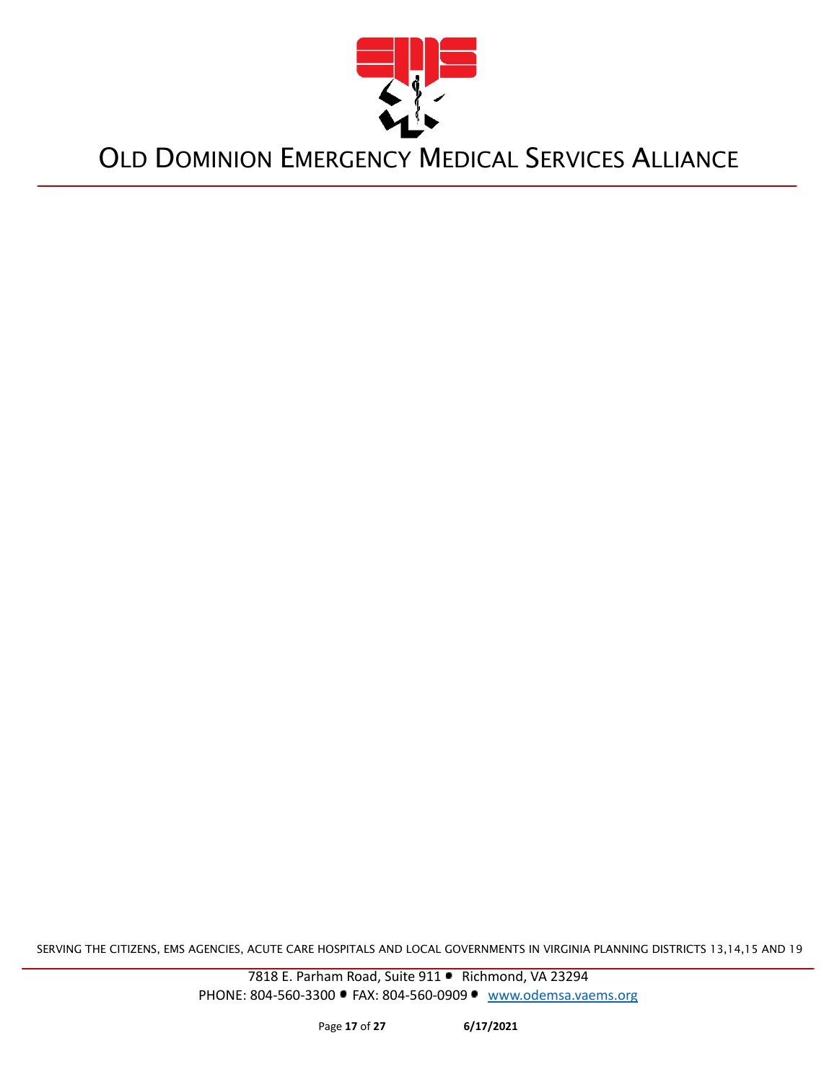

SERVING THE CITIZENS, EMS AGENCIES, ACUTE CARE HOSPITALS AND LOCAL GOVERNMENTS IN VIRGINIA PLANNING DISTRICTS 13,14,15 AND 19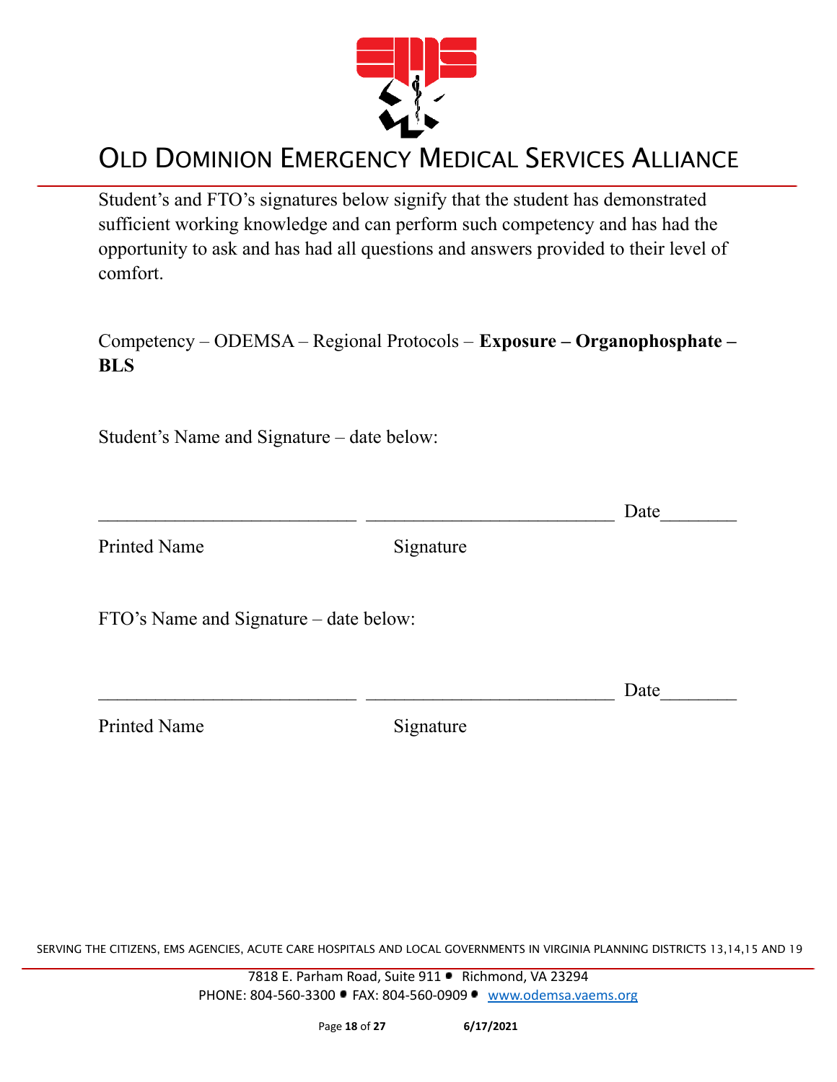

Student's and FTO's signatures below signify that the student has demonstrated sufficient working knowledge and can perform such competency and has had the opportunity to ask and has had all questions and answers provided to their level of comfort.

|            | Competency – ODEMSA – Regional Protocols – Exposure – Organophosphate – |
|------------|-------------------------------------------------------------------------|
| <b>BLS</b> |                                                                         |

Student's Name and Signature – date below:

 $\Box$  Date

Printed Name Signature

FTO's Name and Signature – date below:

 $\Box$  Date

Printed Name Signature

SERVING THE CITIZENS, EMS AGENCIES, ACUTE CARE HOSPITALS AND LOCAL GOVERNMENTS IN VIRGINIA PLANNING DISTRICTS 13,14,15 AND 19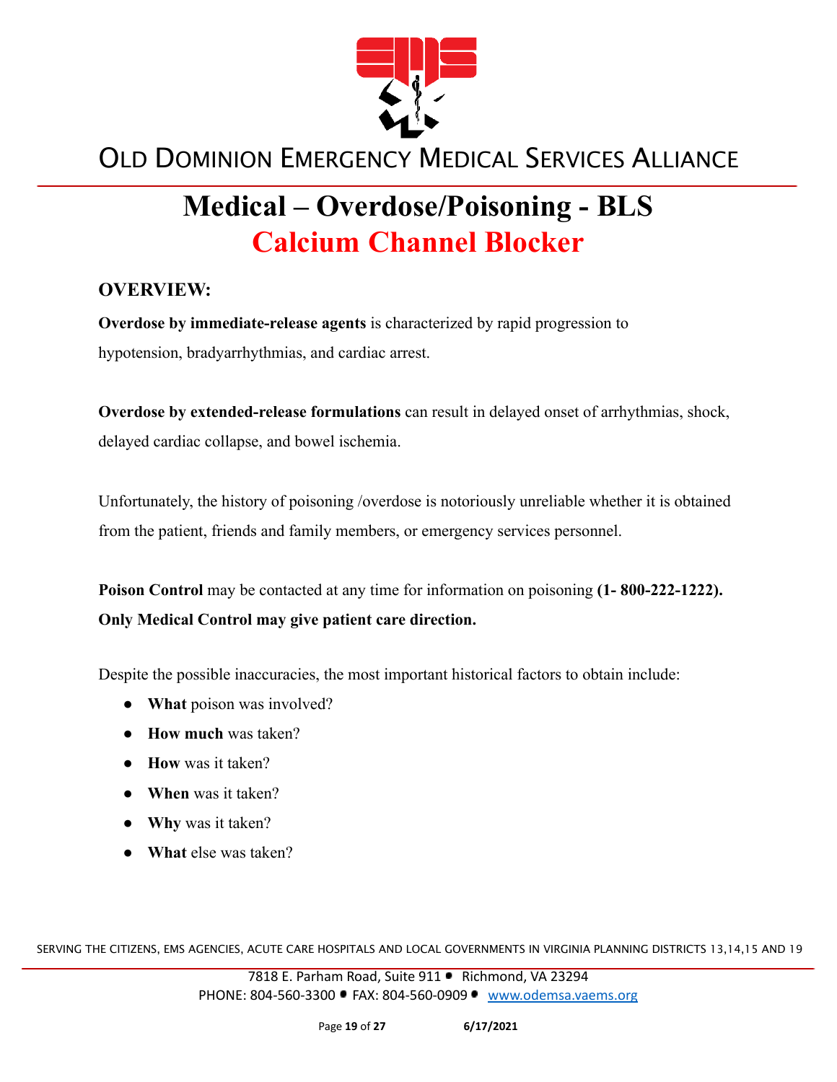

## **Medical – Overdose/Poisoning - BLS Calcium Channel Blocker**

#### **OVERVIEW:**

**Overdose by immediate-release agents** is characterized by rapid progression to hypotension, bradyarrhythmias, and cardiac arrest.

**Overdose by extended-release formulations** can result in delayed onset of arrhythmias, shock, delayed cardiac collapse, and bowel ischemia.

Unfortunately, the history of poisoning /overdose is notoriously unreliable whether it is obtained from the patient, friends and family members, or emergency services personnel.

**Poison Control** may be contacted at any time for information on poisoning **(1- 800-222-1222). Only Medical Control may give patient care direction.**

Despite the possible inaccuracies, the most important historical factors to obtain include:

- **What** poison was involved?
- **How much** was taken?
- **How** was it taken?
- **When** was it taken?
- **● Why** was it taken?
- **● What** else was taken?

SERVING THE CITIZENS, EMS AGENCIES, ACUTE CARE HOSPITALS AND LOCAL GOVERNMENTS IN VIRGINIA PLANNING DISTRICTS 13,14,15 AND 19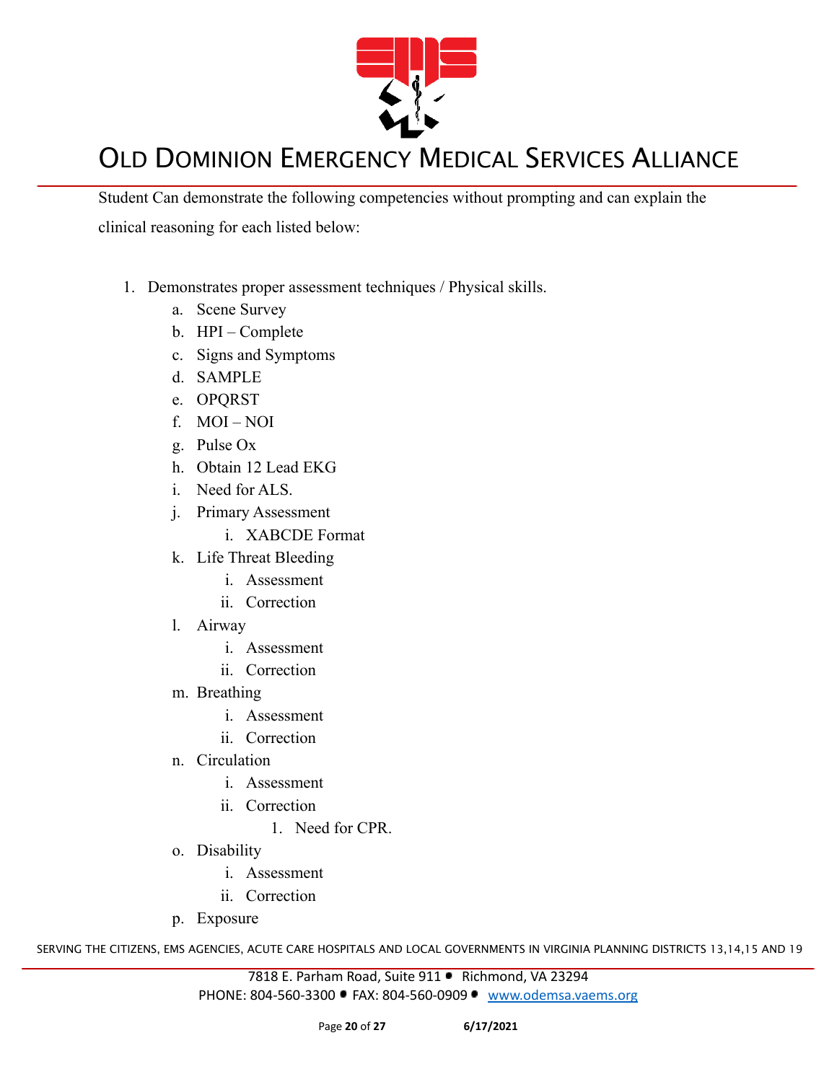

Student Can demonstrate the following competencies without prompting and can explain the clinical reasoning for each listed below:

- 1. Demonstrates proper assessment techniques / Physical skills.
	- a. Scene Survey
	- b. HPI Complete
	- c. Signs and Symptoms
	- d. SAMPLE
	- e. OPQRST
	- f. MOI NOI
	- g. Pulse Ox
	- h. Obtain 12 Lead EKG
	- i. Need for ALS.
	- j. Primary Assessment
		- i. XABCDE Format
	- k. Life Threat Bleeding
		- i. Assessment
		- ii. Correction
	- l. Airway
		- i. Assessment
		- ii. Correction
	- m. Breathing
		- i. Assessment
		- ii. Correction
	- n. Circulation
		- i. Assessment
		- ii. Correction
			- 1. Need for CPR.
	- o. Disability
		- i. Assessment
		- ii. Correction
	- p. Exposure

SERVING THE CITIZENS, EMS AGENCIES, ACUTE CARE HOSPITALS AND LOCAL GOVERNMENTS IN VIRGINIA PLANNING DISTRICTS 13,14,15 AND 19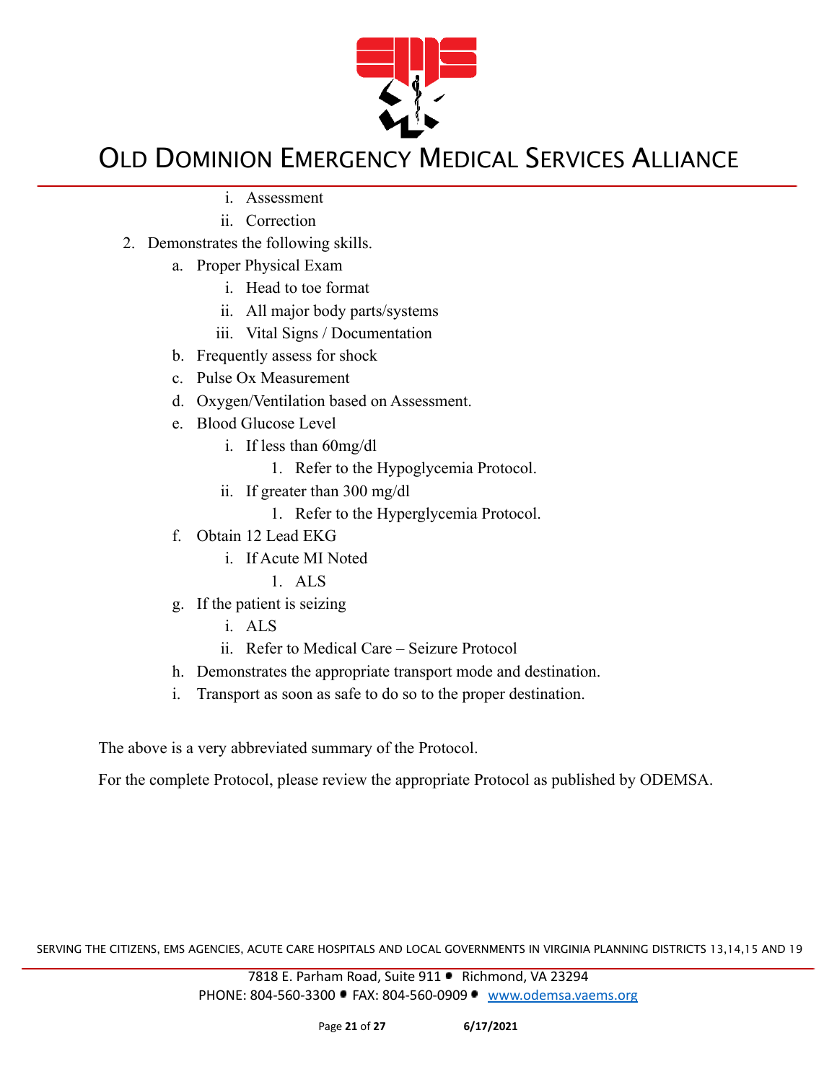

- i. Assessment
- ii. Correction
- 2. Demonstrates the following skills.
	- a. Proper Physical Exam
		- i. Head to toe format
		- ii. All major body parts/systems
		- iii. Vital Signs / Documentation
	- b. Frequently assess for shock
	- c. Pulse Ox Measurement
	- d. Oxygen/Ventilation based on Assessment.
	- e. Blood Glucose Level
		- i. If less than 60mg/dl
			- 1. Refer to the Hypoglycemia Protocol.
		- ii. If greater than 300 mg/dl
			- 1. Refer to the Hyperglycemia Protocol.
	- f. Obtain 12 Lead EKG
		- i. If Acute MI Noted
			- 1. ALS
	- g. If the patient is seizing
		- i. ALS
		- ii. Refer to Medical Care Seizure Protocol
	- h. Demonstrates the appropriate transport mode and destination.
	- i. Transport as soon as safe to do so to the proper destination.

The above is a very abbreviated summary of the Protocol.

For the complete Protocol, please review the appropriate Protocol as published by ODEMSA.

SERVING THE CITIZENS, EMS AGENCIES, ACUTE CARE HOSPITALS AND LOCAL GOVERNMENTS IN VIRGINIA PLANNING DISTRICTS 13,14,15 AND 19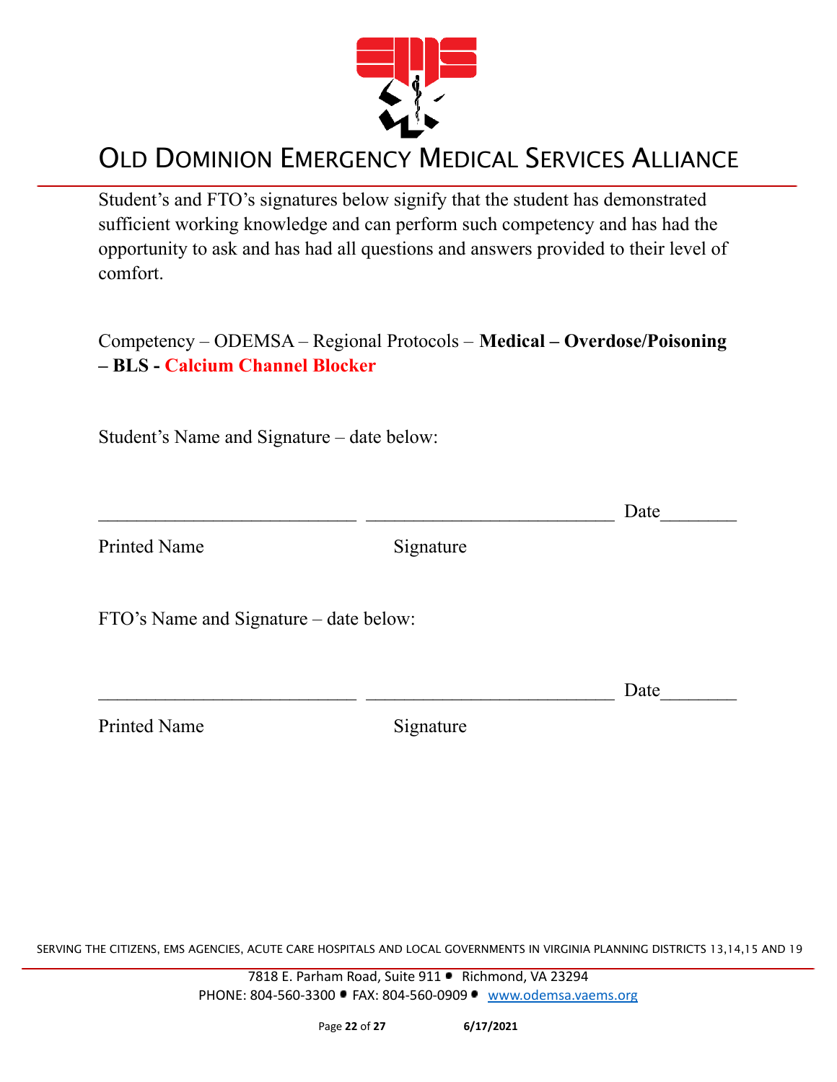

Student's and FTO's signatures below signify that the student has demonstrated sufficient working knowledge and can perform such competency and has had the opportunity to ask and has had all questions and answers provided to their level of comfort.

Competency – ODEMSA – Regional Protocols – **Medical – Overdose/Poisoning – BLS - Calcium Channel Blocker**

Student's Name and Signature – date below:

 $\Box$  Date Printed Name Signature FTO's Name and Signature – date below:  $\Box$  Date Printed Name Signature

SERVING THE CITIZENS, EMS AGENCIES, ACUTE CARE HOSPITALS AND LOCAL GOVERNMENTS IN VIRGINIA PLANNING DISTRICTS 13,14,15 AND 19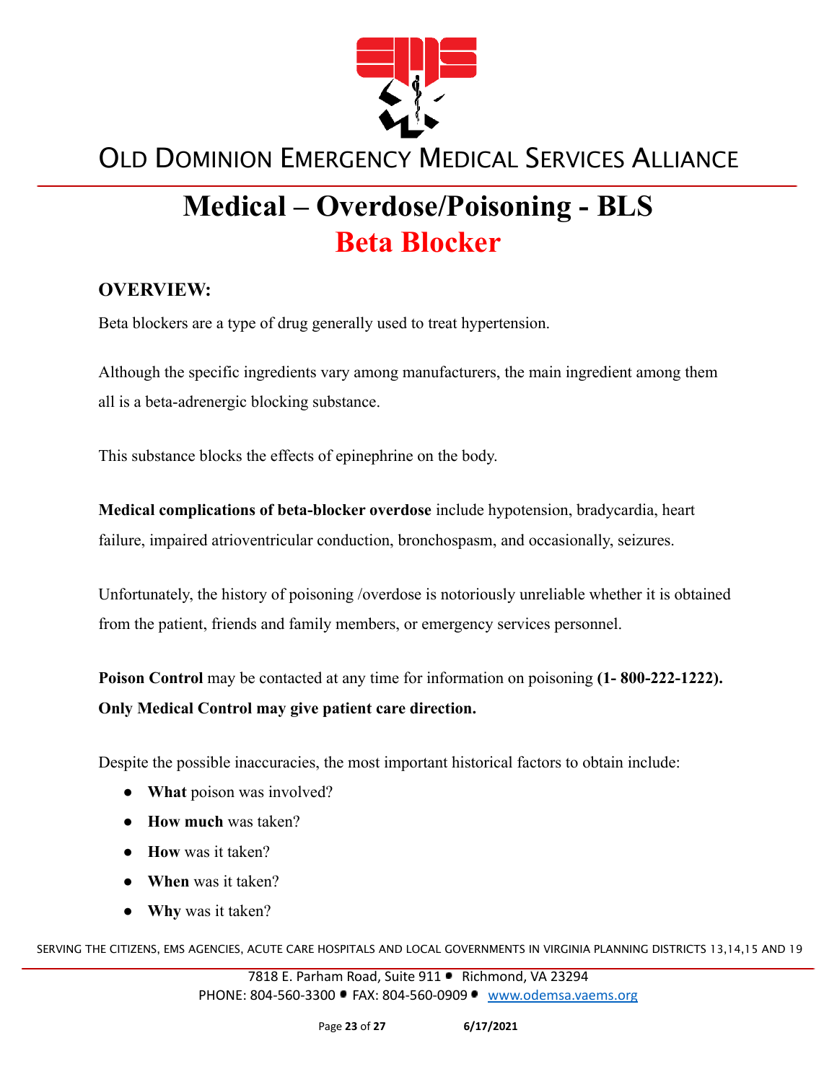

# **Medical – Overdose/Poisoning - BLS Beta Blocker**

#### **OVERVIEW:**

Beta blockers are a type of drug generally used to treat hypertension.

Although the specific ingredients vary among manufacturers, the main ingredient among them all is a beta-adrenergic blocking substance.

This substance blocks the effects of epinephrine on the body.

**Medical complications of beta-blocker overdose** include hypotension, bradycardia, heart failure, impaired atrioventricular conduction, bronchospasm, and occasionally, seizures.

Unfortunately, the history of poisoning /overdose is notoriously unreliable whether it is obtained from the patient, friends and family members, or emergency services personnel.

**Poison Control** may be contacted at any time for information on poisoning **(1- 800-222-1222). Only Medical Control may give patient care direction.**

Despite the possible inaccuracies, the most important historical factors to obtain include:

- **What** poison was involved?
- **How much** was taken?
- **How** was it taken?
- **When** was it taken?
- **● Why** was it taken?

SERVING THE CITIZENS, EMS AGENCIES, ACUTE CARE HOSPITALS AND LOCAL GOVERNMENTS IN VIRGINIA PLANNING DISTRICTS 13,14,15 AND 19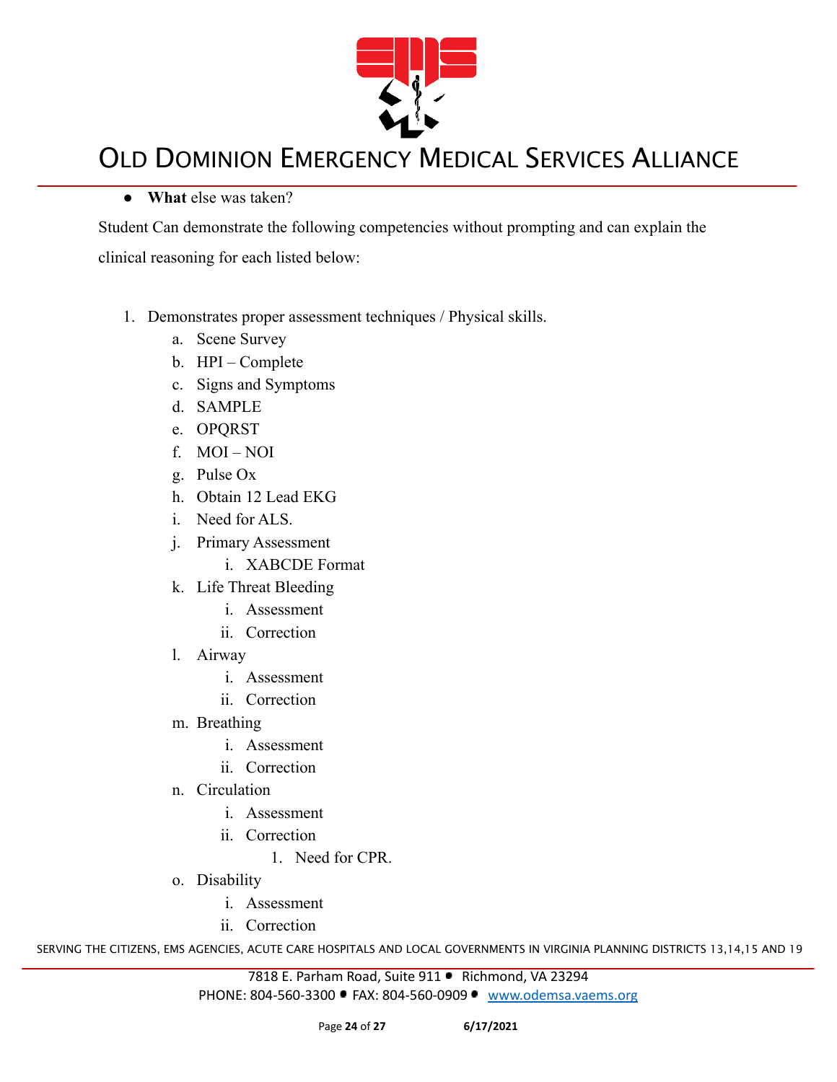

#### **● What** else was taken?

Student Can demonstrate the following competencies without prompting and can explain the clinical reasoning for each listed below:

- 1. Demonstrates proper assessment techniques / Physical skills.
	- a. Scene Survey
	- b. HPI Complete
	- c. Signs and Symptoms
	- d. SAMPLE
	- e. OPQRST
	- f. MOI NOI
	- g. Pulse Ox
	- h. Obtain 12 Lead EKG
	- i. Need for ALS.
	- j. Primary Assessment
		- i. XABCDE Format
	- k. Life Threat Bleeding
		- i. Assessment
		- ii. Correction
	- l. Airway
		- i. Assessment
		- ii. Correction
	- m. Breathing
		- i. Assessment
		- ii. Correction
	- n. Circulation
		- i. Assessment
		- ii. Correction
			- 1. Need for CPR.
	- o. Disability
		- i. Assessment
		- ii. Correction

SERVING THE CITIZENS, EMS AGENCIES, ACUTE CARE HOSPITALS AND LOCAL GOVERNMENTS IN VIRGINIA PLANNING DISTRICTS 13,14,15 AND 19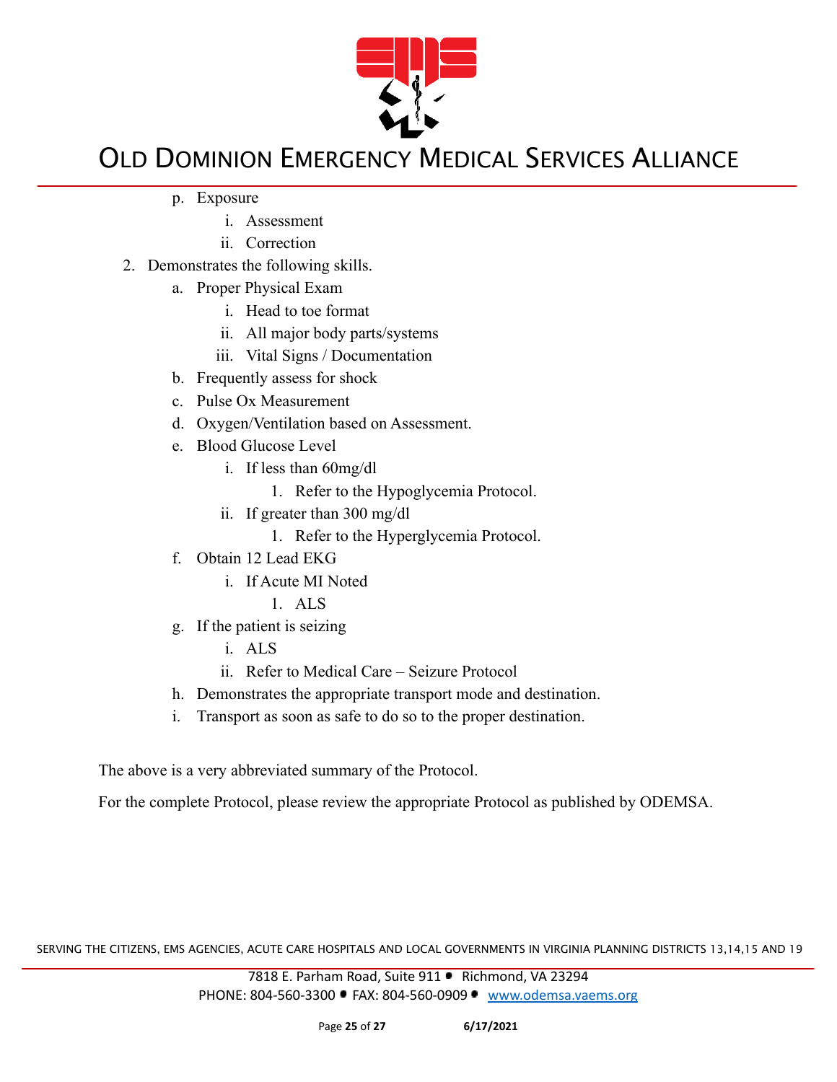

- p. Exposure
	- i. Assessment
	- ii. Correction
- 2. Demonstrates the following skills.
	- a. Proper Physical Exam
		- i. Head to toe format
		- ii. All major body parts/systems
		- iii. Vital Signs / Documentation
	- b. Frequently assess for shock
	- c. Pulse Ox Measurement
	- d. Oxygen/Ventilation based on Assessment.
	- e. Blood Glucose Level
		- i. If less than 60mg/dl
			- 1. Refer to the Hypoglycemia Protocol.
		- ii. If greater than 300 mg/dl
			- 1. Refer to the Hyperglycemia Protocol.
	- f. Obtain 12 Lead EKG
		- i. If Acute MI Noted
			- 1. ALS
	- g. If the patient is seizing
		- i. ALS
		- ii. Refer to Medical Care Seizure Protocol
	- h. Demonstrates the appropriate transport mode and destination.
	- i. Transport as soon as safe to do so to the proper destination.

The above is a very abbreviated summary of the Protocol.

For the complete Protocol, please review the appropriate Protocol as published by ODEMSA.

SERVING THE CITIZENS, EMS AGENCIES, ACUTE CARE HOSPITALS AND LOCAL GOVERNMENTS IN VIRGINIA PLANNING DISTRICTS 13,14,15 AND 19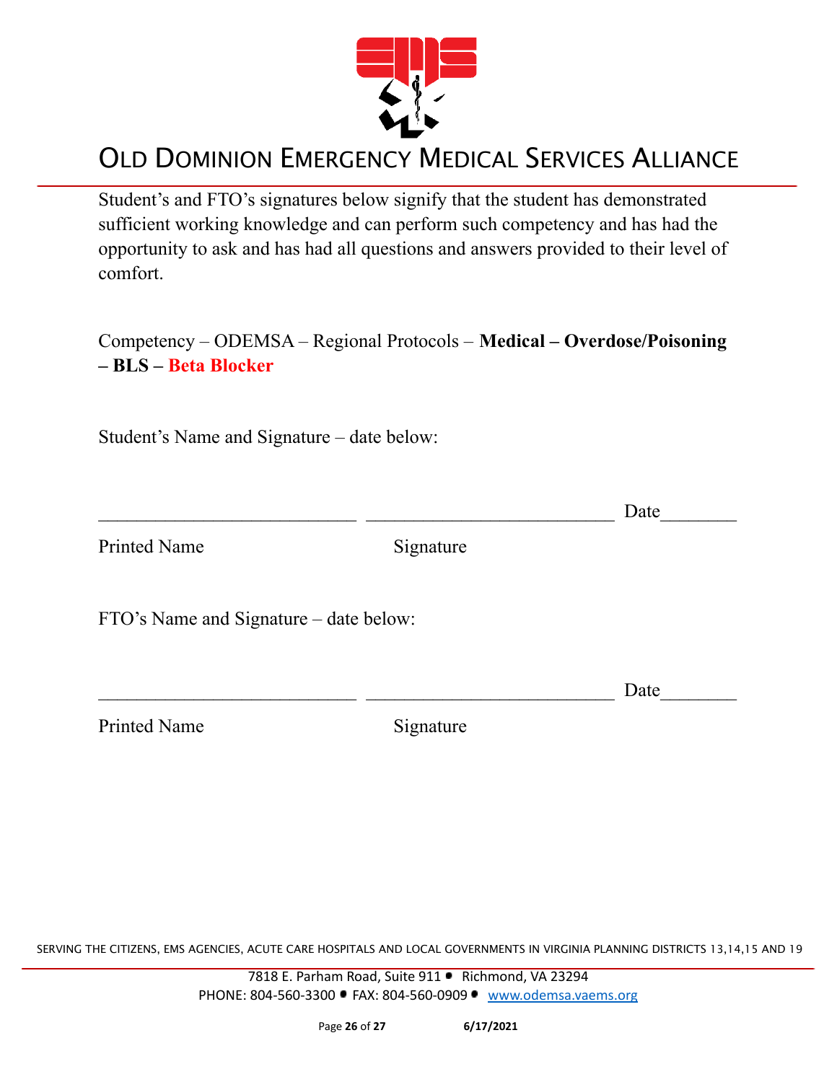

Student's and FTO's signatures below signify that the student has demonstrated sufficient working knowledge and can perform such competency and has had the opportunity to ask and has had all questions and answers provided to their level of comfort.

Competency – ODEMSA – Regional Protocols – **Medical – Overdose/Poisoning – BLS – Beta Blocker**

Student's Name and Signature – date below:

 $\Box$  Date Printed Name Signature

FTO's Name and Signature – date below:

Printed Name Signature

 $\Box$  Date

SERVING THE CITIZENS, EMS AGENCIES, ACUTE CARE HOSPITALS AND LOCAL GOVERNMENTS IN VIRGINIA PLANNING DISTRICTS 13,14,15 AND 19